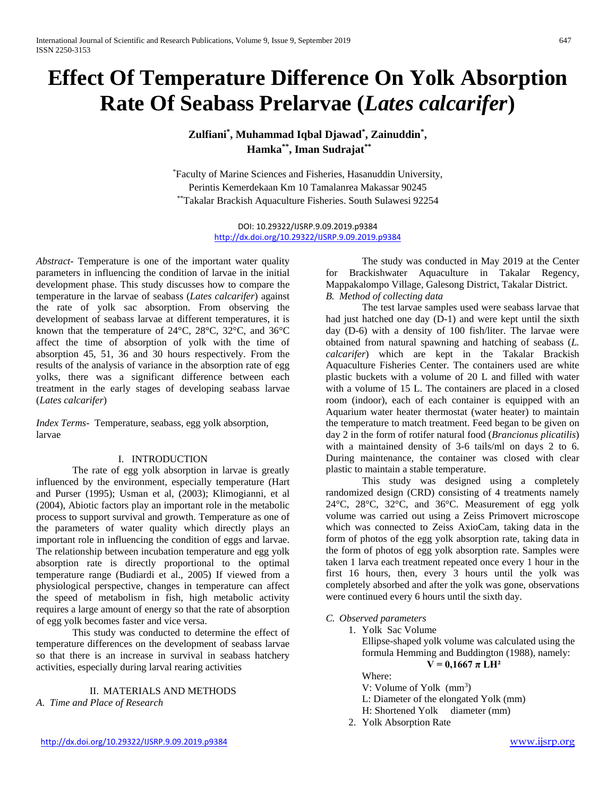# **Effect Of Temperature Difference On Yolk Absorption Rate Of Seabass Prelarvae (***Lates calcarifer***)**

**Zulfiani\* , Muhammad Iqbal Djawad\* , Zainuddin\* , Hamka\*\*, Iman Sudrajat\*\***

\* Faculty of Marine Sciences and Fisheries, Hasanuddin University, Perintis Kemerdekaan Km 10 Tamalanrea Makassar 90245 \*\*Takalar Brackish Aquaculture Fisheries. South Sulawesi 92254

> DOI: 10.29322/IJSRP.9.09.2019.p9384 <http://dx.doi.org/10.29322/IJSRP.9.09.2019.p9384>

*Abstract-* Temperature is one of the important water quality parameters in influencing the condition of larvae in the initial development phase. This study discusses how to compare the temperature in the larvae of seabass (*Lates calcarifer*) against the rate of yolk sac absorption. From observing the development of seabass larvae at different temperatures, it is known that the temperature of 24°C, 28°C, 32°C, and 36°C affect the time of absorption of yolk with the time of absorption 45, 51, 36 and 30 hours respectively. From the results of the analysis of variance in the absorption rate of egg yolks, there was a significant difference between each treatment in the early stages of developing seabass larvae (*Lates calcarifer*)

*Index Terms*- Temperature, seabass, egg yolk absorption, larvae

## I. INTRODUCTION

The rate of egg yolk absorption in larvae is greatly influenced by the environment, especially temperature (Hart and Purser (1995); Usman et al, (2003); Klimogianni, et al (2004), Abiotic factors play an important role in the metabolic process to support survival and growth. Temperature as one of the parameters of water quality which directly plays an important role in influencing the condition of eggs and larvae. The relationship between incubation temperature and egg yolk absorption rate is directly proportional to the optimal temperature range (Budiardi et al., 2005) If viewed from a physiological perspective, changes in temperature can affect the speed of metabolism in fish, high metabolic activity requires a large amount of energy so that the rate of absorption of egg yolk becomes faster and vice versa.

This study was conducted to determine the effect of temperature differences on the development of seabass larvae so that there is an increase in survival in seabass hatchery activities, especially during larval rearing activities

#### II. MATERIALS AND METHODS *A. Time and Place of Research*

The study was conducted in May 2019 at the Center for Brackishwater Aquaculture in Takalar Regency, Mappakalompo Village, Galesong District, Takalar District. *B. Method of collecting data*

The test larvae samples used were seabass larvae that had just hatched one day (D-1) and were kept until the sixth day (D-6) with a density of 100 fish/liter. The larvae were obtained from natural spawning and hatching of seabass (*L. calcarifer*) which are kept in the Takalar Brackish Aquaculture Fisheries Center. The containers used are white plastic buckets with a volume of 20 L and filled with water with a volume of 15 L. The containers are placed in a closed room (indoor), each of each container is equipped with an Aquarium water heater thermostat (water heater) to maintain the temperature to match treatment. Feed began to be given on day 2 in the form of rotifer natural food (*Brancionus plicatilis*) with a maintained density of 3-6 tails/ml on days 2 to 6. During maintenance, the container was closed with clear plastic to maintain a stable temperature.

This study was designed using a completely randomized design (CRD) consisting of 4 treatments namely 24°C, 28°C, 32°C, and 36°C. Measurement of egg yolk volume was carried out using a Zeiss Primovert microscope which was connected to Zeiss AxioCam, taking data in the form of photos of the egg yolk absorption rate, taking data in the form of photos of egg yolk absorption rate. Samples were taken 1 larva each treatment repeated once every 1 hour in the first 16 hours, then, every 3 hours until the yolk was completely absorbed and after the yolk was gone, observations were continued every 6 hours until the sixth day.

# *C. Observed parameters*

1. Yolk Sac Volume

Ellipse-shaped yolk volume was calculated using the formula Hemming and Buddington (1988), namely:  $V = 0,1667 \pi LH^2$ 

# Where:

- V: Volume of Yolk (mm<sup>3</sup>)
- L: Diameter of the elongated Yolk (mm)
- H: Shortened Yolk diameter (mm)
- 2. Yolk Absorption Rate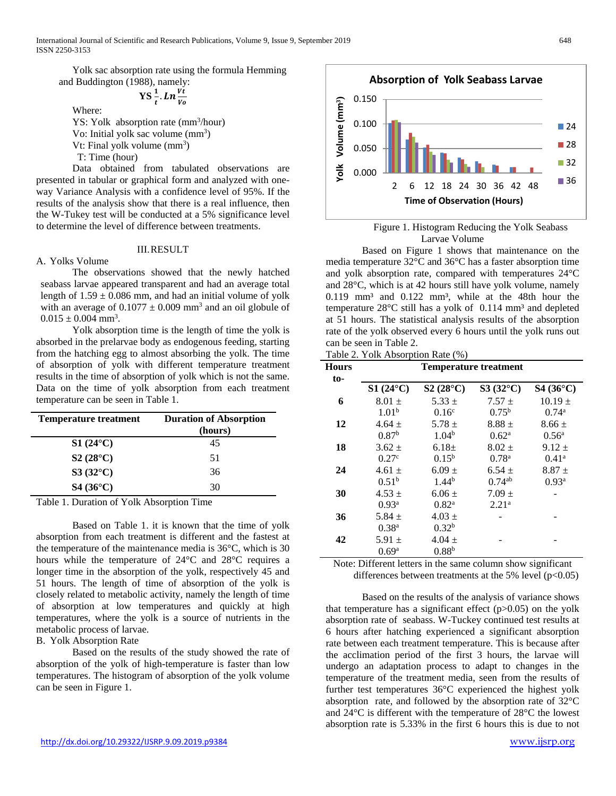Yolk sac absorption rate using the formula Hemming

and Buddington (1988), namely:  

$$
\mathbf{YS} \frac{1}{t} \cdot \mathbf{Ln} \frac{v_t}{v_o}
$$

Where:

YS: Yolk absorption rate (mm<sup>3</sup>/hour) Vo: Initial yolk sac volume (mm<sup>3</sup>) Vt: Final yolk volume  $(mm<sup>3</sup>)$ 

T: Time (hour)

Data obtained from tabulated observations are presented in tabular or graphical form and analyzed with oneway Variance Analysis with a confidence level of 95%. If the results of the analysis show that there is a real influence, then the W-Tukey test will be conducted at a 5% significance level to determine the level of difference between treatments.

#### III.RESULT

A. Yolks Volume

The observations showed that the newly hatched seabass larvae appeared transparent and had an average total length of  $1.59 \pm 0.086$  mm, and had an initial volume of yolk with an average of  $0.1077 \pm 0.009$  mm<sup>3</sup> and an oil globule of  $0.015 \pm 0.004$  mm<sup>3</sup>.

Yolk absorption time is the length of time the yolk is absorbed in the prelarvae body as endogenous feeding, starting from the hatching egg to almost absorbing the yolk. The time of absorption of yolk with different temperature treatment results in the time of absorption of yolk which is not the same. Data on the time of yolk absorption from each treatment temperature can be seen in Table 1.

| <b>Duration of Absorption</b><br>(hours) |
|------------------------------------------|
| 45                                       |
| 51                                       |
| 36                                       |
| 30                                       |
|                                          |

Table 1. Duration of Yolk Absorption Time

Based on Table 1. it is known that the time of yolk absorption from each treatment is different and the fastest at the temperature of the maintenance media is 36°C, which is 30 hours while the temperature of 24°C and 28°C requires a longer time in the absorption of the yolk, respectively 45 and 51 hours. The length of time of absorption of the yolk is closely related to metabolic activity, namely the length of time of absorption at low temperatures and quickly at high temperatures, where the yolk is a source of nutrients in the metabolic process of larvae.

B. Yolk Absorption Rate

Based on the results of the study showed the rate of absorption of the yolk of high-temperature is faster than low temperatures. The histogram of absorption of the yolk volume can be seen in Figure 1.



Figure 1. Histogram Reducing the Yolk Seabass Larvae Volume

Based on Figure 1 shows that maintenance on the media temperature 32°C and 36°C has a faster absorption time and yolk absorption rate, compared with temperatures 24°C and 28°C, which is at 42 hours still have yolk volume, namely  $0.119$  mm<sup>3</sup> and  $0.122$  mm<sup>3</sup>, while at the 48th hour the temperature 28°C still has a yolk of 0.114 mm<sup>3</sup> and depleted at 51 hours. The statistical analysis results of the absorption rate of the yolk observed every 6 hours until the yolk runs out can be seen in Table 2.

Table 2. Yolk Absorption Rate (%)

| <b>Hours</b> | <b>Temperature treatment</b> |                   |                   |                   |
|--------------|------------------------------|-------------------|-------------------|-------------------|
| to-          |                              |                   |                   |                   |
|              | $S1(24^{\circ}C)$            | $S2(28^{\circ}C)$ | $S3(32^{\circ}C)$ | $S4(36^{\circ}C)$ |
| 6            | $8.01 \pm$                   | $5.33 +$          | $7.57 +$          | $10.19 +$         |
|              | 1.01 <sup>b</sup>            | $0.16^{\circ}$    | $0.75^{\rm b}$    | $0.74^{\rm a}$    |
| 12           | $4.64 +$                     | $5.78 \pm$        | $8.88 +$          | $8.66 \pm$        |
|              | 0.87 <sup>b</sup>            | 1.04 <sup>b</sup> | 0.62 <sup>a</sup> | 0.56 <sup>a</sup> |
| 18           | $3.62 \pm$                   | $6.18+$           | $8.02 \pm$        | $9.12 \pm$        |
|              | 0.27 <sup>c</sup>            | $0.15^{b}$        | 0.78 <sup>a</sup> | 0.41 <sup>a</sup> |
| 24           | $4.61 \pm$                   | $6.09 \pm$        | $6.54 \pm$        | $8.87 +$          |
|              | 0.51 <sup>b</sup>            | $1.44^{b}$        | $0.74^{ab}$       | 0.93 <sup>a</sup> |
| 30           | $4.53 \pm$                   | $6.06 \pm$        | $7.09 +$          |                   |
|              | 0.93 <sup>a</sup>            | $0.82^{\rm a}$    | 2.21 <sup>a</sup> |                   |
| 36           | 5.84 $\pm$                   | $4.03 \pm$        |                   |                   |
|              | 0.38 <sup>a</sup>            | 0.32 <sup>b</sup> |                   |                   |
| 42           | 5.91 $\pm$                   | $4.04 \pm$        |                   |                   |
|              | 0.69 <sup>a</sup>            | $0.88^{b}$        |                   |                   |

Note: Different letters in the same column show significant differences between treatments at the 5% level  $(p<0.05)$ 

Based on the results of the analysis of variance shows that temperature has a significant effect  $(p>0.05)$  on the yolk absorption rate of seabass. W-Tuckey continued test results at 6 hours after hatching experienced a significant absorption rate between each treatment temperature. This is because after the acclimation period of the first 3 hours, the larvae will undergo an adaptation process to adapt to changes in the temperature of the treatment media, seen from the results of further test temperatures 36°C experienced the highest yolk absorption rate, and followed by the absorption rate of 32°C and 24°C is different with the temperature of 28°C the lowest absorption rate is 5.33% in the first 6 hours this is due to not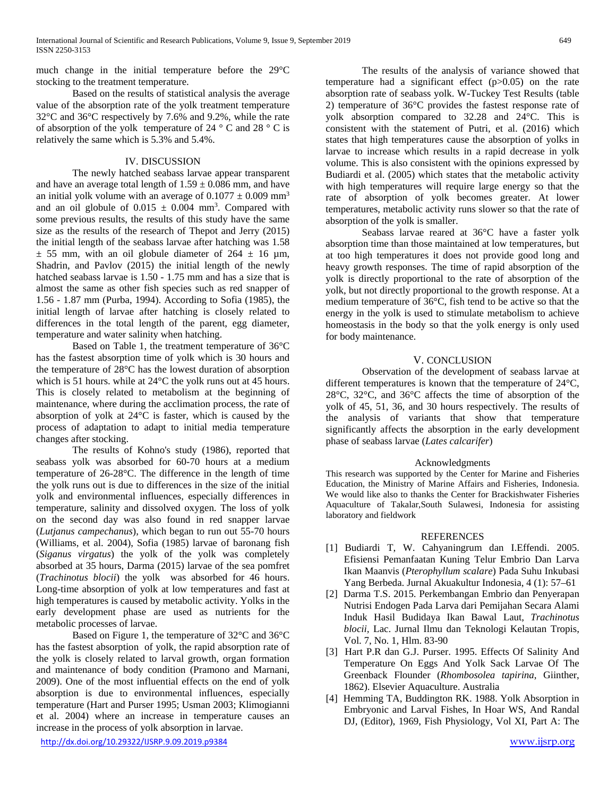much change in the initial temperature before the 29°C stocking to the treatment temperature.

Based on the results of statistical analysis the average value of the absorption rate of the yolk treatment temperature 32°C and 36°C respectively by 7.6% and 9.2%, while the rate of absorption of the yolk temperature of 24  $\degree$  C and 28  $\degree$  C is relatively the same which is 5.3% and 5.4%.

#### IV. DISCUSSION

The newly hatched seabass larvae appear transparent and have an average total length of  $1.59 \pm 0.086$  mm, and have an initial yolk volume with an average of  $0.1077 \pm 0.009$  mm<sup>3</sup> and an oil globule of  $0.015 \pm 0.004$  mm<sup>3</sup>. Compared with some previous results, the results of this study have the same size as the results of the research of Thepot and Jerry (2015) the initial length of the seabass larvae after hatching was 1.58  $\pm$  55 mm, with an oil globule diameter of 264  $\pm$  16 µm, Shadrin, and Pavlov (2015) the initial length of the newly hatched seabass larvae is 1.50 - 1.75 mm and has a size that is almost the same as other fish species such as red snapper of 1.56 - 1.87 mm (Purba, 1994). According to Sofia (1985), the initial length of larvae after hatching is closely related to differences in the total length of the parent, egg diameter, temperature and water salinity when hatching.

Based on Table 1, the treatment temperature of 36°C has the fastest absorption time of yolk which is 30 hours and the temperature of 28°C has the lowest duration of absorption which is 51 hours. while at 24°C the yolk runs out at 45 hours. This is closely related to metabolism at the beginning of maintenance, where during the acclimation process, the rate of absorption of yolk at 24°C is faster, which is caused by the process of adaptation to adapt to initial media temperature changes after stocking.

The results of Kohno's study (1986), reported that seabass yolk was absorbed for 60-70 hours at a medium temperature of 26-28°C. The difference in the length of time the yolk runs out is due to differences in the size of the initial yolk and environmental influences, especially differences in temperature, salinity and dissolved oxygen. The loss of yolk on the second day was also found in red snapper larvae (*Lutjanus campechanus*), which began to run out 55-70 hours (Williams, et al. 2004), Sofia (1985) larvae of baronang fish (*Siganus virgatus*) the yolk of the yolk was completely absorbed at 35 hours, Darma (2015) larvae of the sea pomfret (*Trachinotus blocii*) the yolk was absorbed for 46 hours. Long-time absorption of yolk at low temperatures and fast at high temperatures is caused by metabolic activity. Yolks in the early development phase are used as nutrients for the metabolic processes of larvae.

Based on Figure 1, the temperature of 32°C and 36°C has the fastest absorption of yolk, the rapid absorption rate of the yolk is closely related to larval growth, organ formation and maintenance of body condition (Pramono and Marnani, 2009). One of the most influential effects on the end of yolk absorption is due to environmental influences, especially temperature (Hart and Purser 1995; Usman 2003; Klimogianni et al. 2004) where an increase in temperature causes an increase in the process of yolk absorption in larvae.

The results of the analysis of variance showed that temperature had a significant effect (p>0.05) on the rate absorption rate of seabass yolk. W-Tuckey Test Results (table 2) temperature of 36°C provides the fastest response rate of yolk absorption compared to 32.28 and 24°C. This is consistent with the statement of Putri, et al. (2016) which states that high temperatures cause the absorption of yolks in larvae to increase which results in a rapid decrease in yolk volume. This is also consistent with the opinions expressed by Budiardi et al. (2005) which states that the metabolic activity with high temperatures will require large energy so that the rate of absorption of yolk becomes greater. At lower temperatures, metabolic activity runs slower so that the rate of absorption of the yolk is smaller.

Seabass larvae reared at 36°C have a faster yolk absorption time than those maintained at low temperatures, but at too high temperatures it does not provide good long and heavy growth responses. The time of rapid absorption of the yolk is directly proportional to the rate of absorption of the yolk, but not directly proportional to the growth response. At a medium temperature of 36°C, fish tend to be active so that the energy in the yolk is used to stimulate metabolism to achieve homeostasis in the body so that the yolk energy is only used for body maintenance.

## V. CONCLUSION

Observation of the development of seabass larvae at different temperatures is known that the temperature of 24°C, 28°C, 32°C, and 36°C affects the time of absorption of the yolk of 45, 51, 36, and 30 hours respectively. The results of the analysis of variants that show that temperature significantly affects the absorption in the early development phase of seabass larvae (*Lates calcarifer*)

#### Acknowledgments

This research was supported by the Center for Marine and Fisheries Education, the Ministry of Marine Affairs and Fisheries, Indonesia. We would like also to thanks the Center for Brackishwater Fisheries Aquaculture of Takalar,South Sulawesi, Indonesia for assisting laboratory and fieldwork

## **REFERENCES**

- [1] Budiardi T, W. Cahyaningrum dan I.Effendi. 2005. Efisiensi Pemanfaatan Kuning Telur Embrio Dan Larva Ikan Maanvis (*Pterophyllum scalare*) Pada Suhu Inkubasi Yang Berbeda. Jurnal Akuakultur Indonesia, 4 (1): 57–61
- [2] Darma T.S. 2015. Perkembangan Embrio dan Penyerapan Nutrisi Endogen Pada Larva dari Pemijahan Secara Alami Induk Hasil Budidaya Ikan Bawal Laut, *Trachinotus blocii,* Lac. Jurnal Ilmu dan Teknologi Kelautan Tropis, Vol. 7, No. 1, Hlm. 83-90
- [3] Hart P.R dan G.J. Purser. 1995. Effects Of Salinity And Temperature On Eggs And Yolk Sack Larvae Of The Greenback Flounder (*Rhombosolea tapirina*, Giinther, 1862). Elsevier Aquaculture. Australia
- [4] Hemming TA, Buddington RK. 1988. Yolk Absorption in Embryonic and Larval Fishes, In Hoar WS, And Randal DJ, (Editor), 1969, Fish Physiology, Vol XI, Part A: The